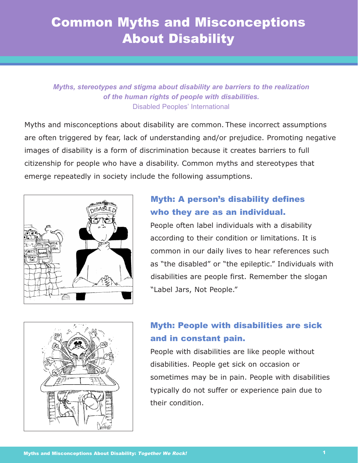# Common Myths and Misconceptions About Disability

#### *Myths, stereotypes and stigma about disability are barriers to the realization of the human rights of people with disabilities.* Disabled Peoples' International

Myths and misconceptions about disability are common. These incorrect assumptions are often triggered by fear, lack of understanding and/or prejudice. Promoting negative images of disability is a form of discrimination because it creates barriers to full citizenship for people who have a disability. Common myths and stereotypes that emerge repeatedly in society include the following assumptions.



#### Myth: A person's disability defines who they are as an individual.

People often label individuals with a disability according to their condition or limitations. It is common in our daily lives to hear references such as "the disabled" or "the epileptic." Individuals with disabilities are people first. Remember the slogan "Label Jars, Not People."



### Myth: People with disabilities are sick and in constant pain.

People with disabilities are like people without disabilities. People get sick on occasion or sometimes may be in pain. People with disabilities typically do not suffer or experience pain due to their condition.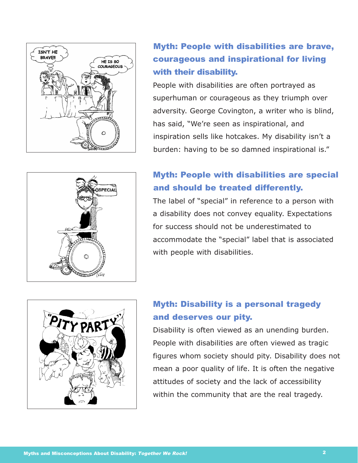

# Myth: People with disabilities are brave, courageous and inspirational for living with their disability.

People with disabilities are often portrayed as superhuman or courageous as they triumph over adversity. George Covington, a writer who is blind, has said, "We're seen as inspirational, and inspiration sells like hotcakes. My disability isn't a burden: having to be so damned inspirational is."

# SPECIAL

# Myth: People with disabilities are special and should be treated differently.

The label of "special" in reference to a person with a disability does not convey equality. Expectations for success should not be underestimated to accommodate the "special" label that is associated with people with disabilities.



**CONTRACTOR** 

# Myth: Disability is a personal tragedy and deserves our pity.

Disability is often viewed as an unending burden. People with disabilities are often viewed as tragic figures whom society should pity. Disability does not mean a poor quality of life. It is often the negative attitudes of society and the lack of accessibility within the community that are the real tragedy.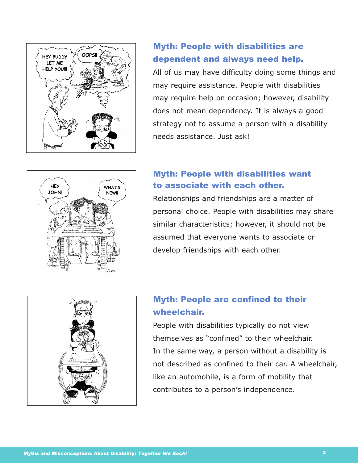

#### Myth: People with disabilities are dependent and always need help.

All of us may have difficulty doing some things and may require assistance. People with disabilities may require help on occasion; however, disability does not mean dependency. It is always a good strategy not to assume a person with a disability needs assistance. Just ask!



#### Myth: People with disabilities want to associate with each other.

Relationships and friendships are a matter of personal choice. People with disabilities may share similar characteristics; however, it should not be assumed that everyone wants to associate or develop friendships with each other.



# Myth: People are confined to their wheelchair.

People with disabilities typically do not view themselves as "confined" to their wheelchair. In the same way, a person without a disability is not described as confined to their car. A wheelchair, like an automobile, is a form of mobility that contributes to a person's independence.